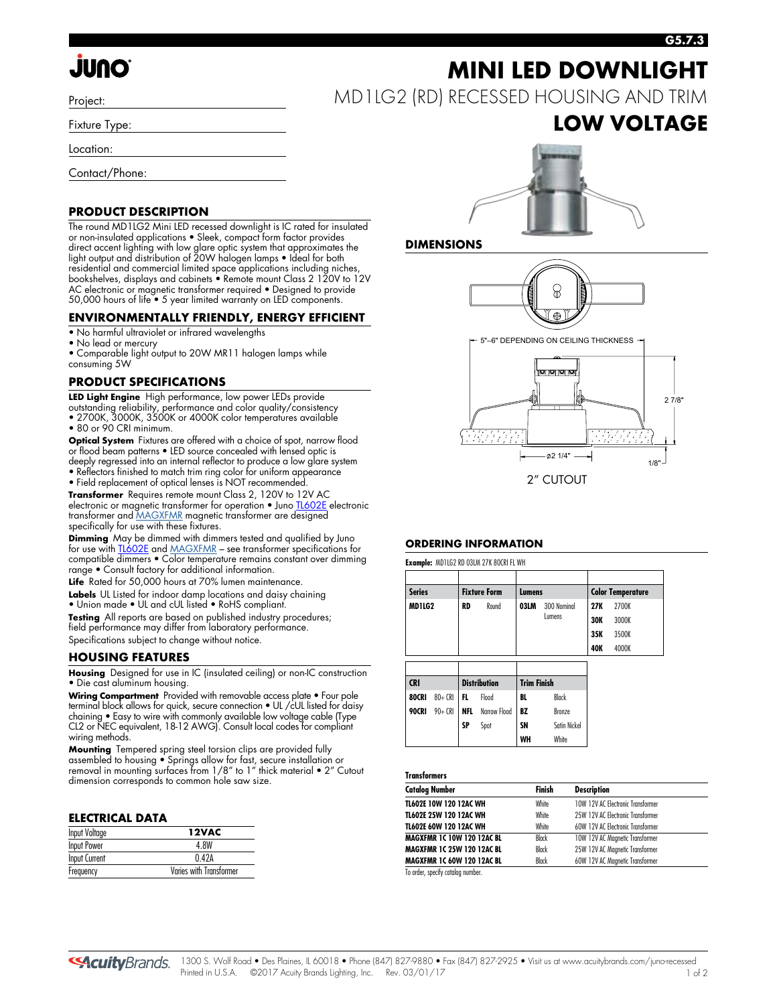# **JUNO**

Project:

Fixture Type:

Location:

Contact/Phone:

# **PRODUCT DESCRIPTION**

The round MD1LG2 Mini LED recessed downlight is IC rated for insulated or non-insulated applications • Sleek, compact form factor provides direct accent lighting with low glare optic system that approximates the light output and distribution of 20W halogen lamps • Ideal for both residential and commercial limited space applications including niches, bookshelves, displays and cabinets • Remote mount Class 2 120V to 12V AC electronic or magnetic transformer required • Designed to provide 50,000 hours of life • 5 year limited warranty on LED components.

# **ENVIRONMENTALLY FRIENDLY, ENERGY EFFICIENT**

- No harmful ultraviolet or infrared wavelengths
- No lead or mercury

• Comparable light output to 20W MR11 halogen lamps while consuming 5W

# **PRODUCT SPECIFICATIONS**

**LED Light Engine** High performance, low power LEDs provide outstanding reliability, performance and color quality/consistency • 2700K, 3000K, 3500K or 4000K color temperatures available

• 80 or 90 CRI minimum.

**Optical System** Fixtures are offered with a choice of spot, narrow flood or flood beam patterns • LED source concealed with lensed optic is deeply regressed into an internal reflector to produce a low glare system

• Reflectors finished to match trim ring color for uniform appearance • Field replacement of optical lenses is NOT recommended.

**Transformer** Requires remote mount Class 2, 120V to 12V AC electronic or magnetic transformer for operation • Jun[o TL602E e](http://www.acuitybrands.com/shell/-/media/Files/Acuity/Other/D3_1_9.pdf)lectronic transformer an[d MAGXFMR](http://www.acuitybrands.com/shell/-/media/Files/Acuity/Other/D3_1_10.pdf) magnetic transformer are designed specifically for use with these fixtures.

**Dimming** May be dimmed with dimmers tested and qualified by Juno for use wit[h TL602E a](http://www.acuitybrands.com/shell/-/media/Files/Acuity/Other/D3_1_9.pdf)n[d MAGXFMR –](http://www.acuitybrands.com/shell/-/media/Files/Acuity/Other/D3_1_10.pdf) see transformer specifications for compatible dimmers • Color temperature remains constant over dimming range • Consult factory for additional information.

**Life** Rated for 50,000 hours at 70% lumen maintenance.

**Labels** UL Listed for indoor damp locations and daisy chaining • Union made • UL and cUL listed • RoHS compliant.

**Testing** All reports are based on published industry procedures; field performance may differ from laboratory performance.

Specifications subject to change without notice.

## **HOUSING FEATURES**

**Housing** Designed for use in IC (insulated ceiling) or non-IC construction • Die cast aluminum housing.

Wiring Compartment Provided with removable access plate • Four pole terminal block allows for quick, secure connection • UL /cUL listed for daisy chaining • Easy to wire with commonly available low voltage cable (Type CL2 or NEC equivalent, 18-12 AWG). Consult local codes for compliant wiring methods.

**Mounting** Tempered spring steel torsion clips are provided fully assembled to housing • Springs allow for fast, secure installation or removal in mounting surfaces from 1/8" to 1" thick material • 2" Cutout dimension corresponds to common hole saw size.

## **ELECTRICAL DATA**

| Input Voltage | 12VAC                   |
|---------------|-------------------------|
| Input Power   | 4 8W                    |
| Input Current | 042A                    |
| Frequency     | Varies with Transformer |

# **MINI LED DOWNLIGHT**

MD1LG2 (RD) RECESSED HOUSING AND TRIM

# **LOW VOLTAGE**



# **DIMENSIONS**







# **ORDERING INFORMATION**

**Example:** MD1LG2 RD 03LM 27K 80CRI FL WH

| <b>Series</b> |           |     | <b>Fixture Form</b> |                    | Lumens      |     | <b>Color Temperature</b> |
|---------------|-----------|-----|---------------------|--------------------|-------------|-----|--------------------------|
| MD1LG2        |           | RD  | Round               | 03LM               | 300 Nominal | 27K | 2700K                    |
|               |           |     |                     |                    | Lumens      | 30K | 3000K                    |
|               |           |     |                     |                    |             | 35K | 3500K                    |
|               |           |     |                     |                    |             | 40K | 4000K                    |
|               |           |     |                     |                    |             |     |                          |
| <b>CRI</b>    |           |     | <b>Distribution</b> | <b>Trim Finish</b> |             |     |                          |
|               |           |     |                     |                    |             |     |                          |
| 80CRI         | $80 + CR$ | FL. | Flood               | BL                 | Black       |     |                          |
| 90CRI         | $90+CR$   | NFL | Narrow Flood        | BZ                 | Bronze      |     |                          |

**SP** Spot **SN** Satin Nickel

**WH** White

#### **Transformers**

| Finish | <b>Description</b>                |
|--------|-----------------------------------|
| White  | 10W 12V AC Electronic Transformer |
| White  | 25W 12V AC Electronic Transformer |
| White  | 60W 12V AC Electronic Transformer |
| Black  | 10W 12V AC Magnetic Transformer   |
| Black  | 25W 12V AC Magnetic Transformer   |
| Black  | 60W 12V AC Magnetic Transformer   |
|        |                                   |

To order, specify catalog number.

**SAcuity** Brands.

# **G5.7.3**